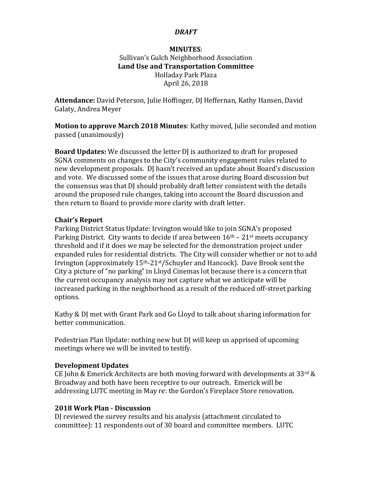### *DRAFT*

### **MINUTES**: Sullivan's Gulch Neighborhood Association Land Use and Transportation Committee Holladay Park Plaza April 26, 2018

Attendance: David Peterson, Julie Hoffinger, DJ Heffernan, Kathy Hansen, David Galaty, Andrea Meyer

**Motion to approve March 2018 Minutes:** Kathy moved, Julie seconded and motion passed (unanimously)

**Board Updates:** We discussed the letter DJ is authorized to draft for proposed SGNA comments on changes to the City's community engagement rules related to new development proposals. DJ hasn't received an update about Board's discussion and vote. We discussed some of the issues that arose during Board discussion but the consensus was that DJ should probably draft letter consistent with the details around the proposed rule changes, taking into account the Board discussion and then return to Board to provide more clarity with draft letter.

## **Chair's Report**

Parking District Status Update: Irvington would like to join SGNA's proposed Parking District. City wants to decide if area between  $16<sup>th</sup> - 21<sup>st</sup>$  meets occupancy threshold and if it does we may be selected for the demonstration project under expanded rules for residential districts. The City will consider whether or not to add Irvington (approximately  $15<sup>th</sup> - 21<sup>st</sup>/Schuyler$  and Hancock). Dave Brook sent the City a picture of "no parking" in Lloyd Cinemas lot because there is a concern that the current occupancy analysis may not capture what we anticipate will be increased parking in the neighborhood as a result of the reduced off-street parking options.

Kathy & DJ met with Grant Park and Go Lloyd to talk about sharing information for better communication.

Pedestrian Plan Update: nothing new but DJ will keep us apprised of upcoming meetings where we will be invited to testify.

### **Development Updates**

CE John & Emerick Architects are both moving forward with developments at 33rd & Broadway and both have been receptive to our outreach. Emerick will be addressing LUTC meeting in May re: the Gordon's Fireplace Store renovation.

# **2018 Work Plan - Discussion**

DI reviewed the survey results and his analysis (attachment circulated to committee): 11 respondents out of 30 board and committee members. LUTC